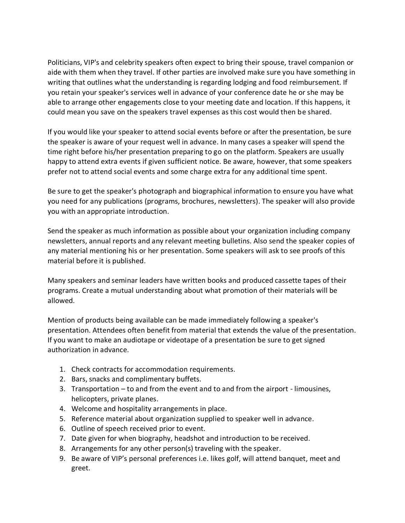Politicians, VIP's and celebrity speakers often expect to bring their spouse, travel companion or aide with them when they travel. If other parties are involved make sure you have something in writing that outlines what the understanding is regarding lodging and food reimbursement. If you retain your speaker's services well in advance of your conference date he or she may be able to arrange other engagements close to your meeting date and location. If this happens, it could mean you save on the speakers travel expenses as this cost would then be shared.

If you would like your speaker to attend social events before or after the presentation, be sure the speaker is aware of your request well in advance. In many cases a speaker will spend the time right before his/her presentation preparing to go on the platform. Speakers are usually happy to attend extra events if given sufficient notice. Be aware, however, that some speakers prefer not to attend social events and some charge extra for any additional time spent.

Be sure to get the speaker's photograph and biographical information to ensure you have what you need for any publications (programs, brochures, newsletters). The speaker will also provide you with an appropriate introduction.

Send the speaker as much information as possible about your organization including company newsletters, annual reports and any relevant meeting bulletins. Also send the speaker copies of any material mentioning his or her presentation. Some speakers will ask to see proofs of this material before it is published.

Many speakers and seminar leaders have written books and produced cassette tapes of their programs. Create a mutual understanding about what promotion of their materials will be allowed.

Mention of products being available can be made immediately following a speaker's presentation. Attendees often benefit from material that extends the value of the presentation. If you want to make an audiotape or videotape of a presentation be sure to get signed authorization in advance.

- 1. Check contracts for accommodation requirements.
- 2. Bars, snacks and complimentary buffets.
- 3. Transportation to and from the event and to and from the airport limousines, helicopters, private planes.
- 4. Welcome and hospitality arrangements in place.
- 5. Reference material about organization supplied to speaker well in advance.
- 6. Outline of speech received prior to event.
- 7. Date given for when biography, headshot and introduction to be received.
- 8. Arrangements for any other person(s) traveling with the speaker.
- 9. Be aware of VIP's personal preferences i.e. likes golf, will attend banquet, meet and greet.